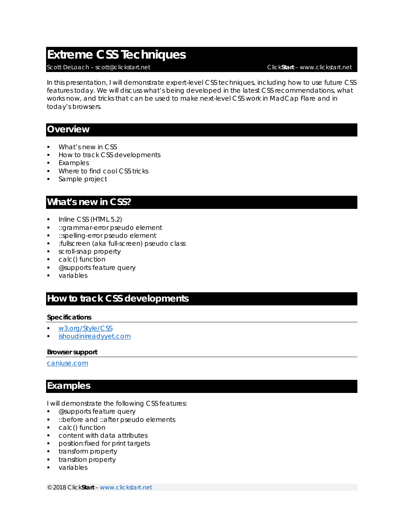# **Extreme CSS Techniques**

#### Scott DeLoach – scott@clickstart.net Click**Start** – www.clickstart.net

In this presentation, I will demonstrate expert-level CSS techniques, including how to use future CSS features today. We will discuss what's being developed in the latest CSS recommendations, what works now, and tricks that can be used to make next-level CSS work in MadCap Flare and in today's browsers.

#### **Overview**

- What's new in CSS
- How to track CSS developments
- **Examples**
- **Where to find cool CSS tricks**
- Sample project

## **What's new in CSS?**

- $\blacksquare$  Inline CSS (HTML 5.2)
- ::grammar-error pseudo element
- **EX:** ::spelling-error pseudo element
- :fullscreen (aka full-screen) pseudo class
- scroll-snap property
- calc() function
- **.** @supports feature query
- variables

## **How to track CSS developments**

#### **Specifications**

- w3.org/Style/CSS
- ishoudinireadyyet.com

#### **Browser support**

caniuse.com

## **Examples**

I will demonstrate the following CSS features:

- @supports feature query
- **:** :: before and :: after pseudo elements
- calc() function
- **Content with data attributes**
- **•** position: fixed for print targets
- **transform property**
- **•** transition property
- **variables**